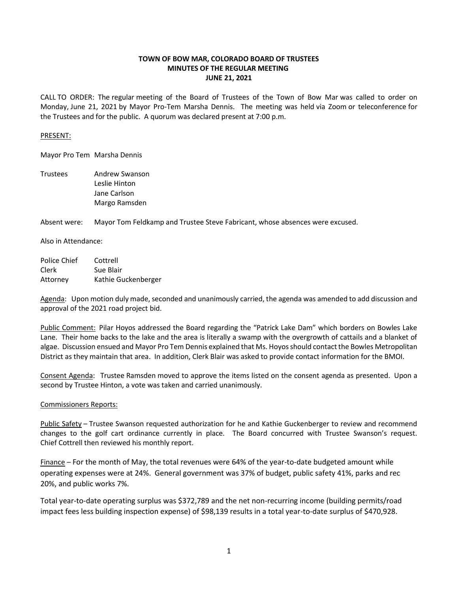# **TOWN OF BOW MAR, COLORADO BOARD OF TRUSTEES MINUTES OF THE REGULAR MEETING JUNE 21, 2021**

CALL TO ORDER: The regular meeting of the Board of Trustees of the Town of Bow Mar was called to order on Monday, June 21, 2021 by Mayor Pro-Tem Marsha Dennis. The meeting was held via Zoom or teleconference for the Trustees and for the public. A quorum was declared present at 7:00 p.m.

## PRESENT:

Mayor Pro Tem Marsha Dennis

Trustees Andrew Swanson Leslie Hinton Jane Carlson Margo Ramsden

Absent were: Mayor Tom Feldkamp and Trustee Steve Fabricant, whose absences were excused.

Also in Attendance:

| Police Chief | Cottrell            |
|--------------|---------------------|
| Clerk        | Sue Blair           |
| Attorney     | Kathie Guckenberger |

Agenda: Upon motion duly made, seconded and unanimously carried, the agenda was amended to add discussion and approval of the 2021 road project bid.

Public Comment: Pilar Hoyos addressed the Board regarding the "Patrick Lake Dam" which borders on Bowles Lake Lane. Their home backs to the lake and the area is literally a swamp with the overgrowth of cattails and a blanket of algae. Discussion ensued and Mayor Pro Tem Dennis explained that Ms. Hoyos should contact the Bowles Metropolitan District as they maintain that area. In addition, Clerk Blair was asked to provide contact information for the BMOI.

Consent Agenda: Trustee Ramsden moved to approve the items listed on the consent agenda as presented. Upon a second by Trustee Hinton, a vote was taken and carried unanimously.

### Commissioners Reports:

Public Safety – Trustee Swanson requested authorization for he and Kathie Guckenberger to review and recommend changes to the golf cart ordinance currently in place. The Board concurred with Trustee Swanson's request. Chief Cottrell then reviewed his monthly report.

Finance – For the month of May, the total revenues were 64% of the year-to-date budgeted amount while operating expenses were at 24%. General government was 37% of budget, public safety 41%, parks and rec 20%, and public works 7%.

Total year-to-date operating surplus was \$372,789 and the net non-recurring income (building permits/road impact fees less building inspection expense) of \$98,139 results in a total year-to-date surplus of \$470,928.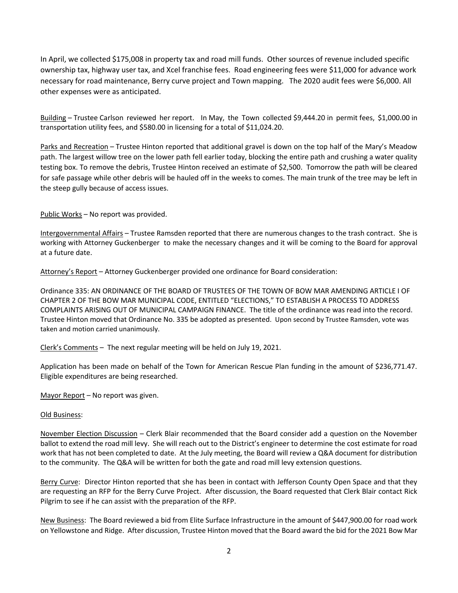In April, we collected \$175,008 in property tax and road mill funds. Other sources of revenue included specific ownership tax, highway user tax, and Xcel franchise fees. Road engineering fees were \$11,000 for advance work necessary for road maintenance, Berry curve project and Town mapping. The 2020 audit fees were \$6,000. All other expenses were as anticipated.

Building – Trustee Carlson reviewed her report. In May, the Town collected \$9,444.20 in permit fees, \$1,000.00 in transportation utility fees, and \$580.00 in licensing for a total of \$11,024.20.

Parks and Recreation – Trustee Hinton reported that additional gravel is down on the top half of the Mary's Meadow path. The largest willow tree on the lower path fell earlier today, blocking the entire path and crushing a water quality testing box. To remove the debris, Trustee Hinton received an estimate of \$2,500. Tomorrow the path will be cleared for safe passage while other debris will be hauled off in the weeks to comes. The main trunk of the tree may be left in the steep gully because of access issues.

Public Works - No report was provided.

Intergovernmental Affairs – Trustee Ramsden reported that there are numerous changes to the trash contract. She is working with Attorney Guckenberger to make the necessary changes and it will be coming to the Board for approval at a future date.

Attorney's Report – Attorney Guckenberger provided one ordinance for Board consideration:

Ordinance 335: AN ORDINANCE OF THE BOARD OF TRUSTEES OF THE TOWN OF BOW MAR AMENDING ARTICLE I OF CHAPTER 2 OF THE BOW MAR MUNICIPAL CODE, ENTITLED "ELECTIONS," TO ESTABLISH A PROCESS TO ADDRESS COMPLAINTS ARISING OUT OF MUNICIPAL CAMPAIGN FINANCE. The title of the ordinance was read into the record. Trustee Hinton moved that Ordinance No. 335 be adopted as presented. Upon second by Trustee Ramsden, vote was taken and motion carried unanimously.

Clerk's Comments – The next regular meeting will be held on July 19, 2021.

Application has been made on behalf of the Town for American Rescue Plan funding in the amount of \$236,771.47. Eligible expenditures are being researched.

Mayor Report – No report was given.

### Old Business:

November Election Discussion – Clerk Blair recommended that the Board consider add a question on the November ballot to extend the road mill levy. She will reach out to the District's engineer to determine the cost estimate for road work that has not been completed to date. At the July meeting, the Board will review a Q&A document for distribution to the community. The Q&A will be written for both the gate and road mill levy extension questions.

Berry Curve: Director Hinton reported that she has been in contact with Jefferson County Open Space and that they are requesting an RFP for the Berry Curve Project. After discussion, the Board requested that Clerk Blair contact Rick Pilgrim to see if he can assist with the preparation of the RFP.

New Business: The Board reviewed a bid from Elite Surface Infrastructure in the amount of \$447,900.00 for road work on Yellowstone and Ridge. After discussion, Trustee Hinton moved that the Board award the bid for the 2021 Bow Mar